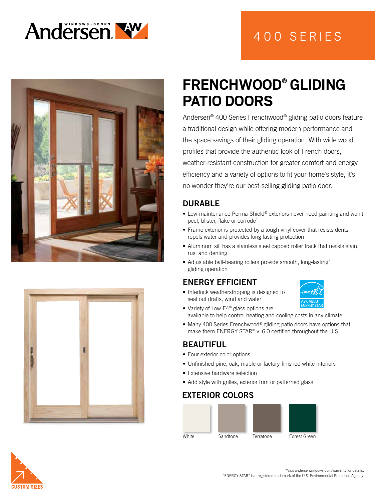





# **FRENCHWOOD® GLIDING PATIO DOORS**

Andersen® 400 Series Frenchwood® gliding patio doors feature a traditional design while offering modern performance and the space savings of their gliding operation. With wide wood profiles that provide the authentic look of French doors, weather-resistant construction for greater comfort and energy efficiency and a variety of options to fit your home's style, it's no wonder they're our best-selling gliding patio door.

## DURABLE

- Low-maintenance Perma-Shield® exteriors never need painting and won't peel, blister, flake or corrode\*
- Frame exterior is protected by a tough vinyl cover that resists dents, repels water and provides long-lasting protection
- Aluminum sill has a stainless steel capped roller track that resists stain, rust and denting
- Adjustable ball-bearing rollers provide smooth, long-lasting\* gliding operation

### ENERGY EFFICIENT

• Interlock weatherstripping is designed to seal out drafts, wind and water



- Variety of Low-E4<sup>®</sup> glass options are available to help control heating and cooling costs in any climate
- Many 400 Series Frenchwood® gliding patio doors have options that make them ENERGY STAR® v. 6.0 certified throughout the U.S.

#### BEAUTIFUL

- Four exterior color options
- Unfinished pine, oak, maple or factory-finished white interiors
- Extensive hardware selection
- Add style with grilles, exterior trim or patterned glass

#### EXTERIOR COLORS